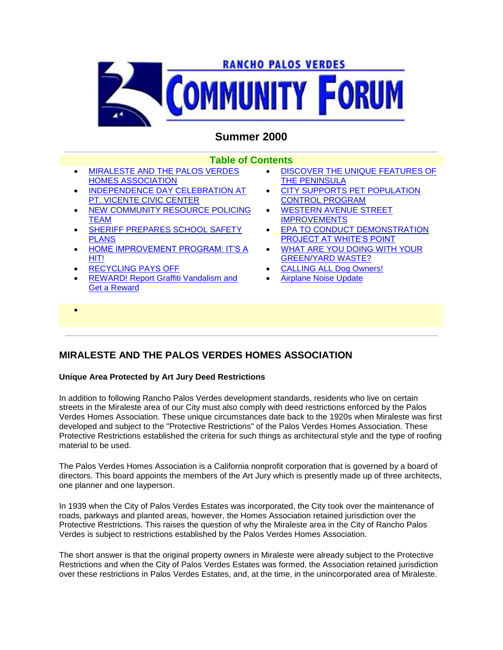

# **Summer 2000**

### **Table of Contents**

- MIRALESTE AND THE PALOS VERDES HOMES ASSOCIATION
- INDEPENDENCE DAY CELEBRATION AT PT. VICENTE CIVIC CENTER
- NEW COMMUNITY RESOURCE POLICING TEAM
- SHERIFF PREPARES SCHOOL SAFETY PLANS
- HOME IMPROVEMENT PROGRAM: IT'S A HIT!
- RECYCLING PAYS OFF

 $\bullet$ 

 REWARD! Report Graffiti Vandalism and Get a Reward

- **.** DISCOVER THE UNIQUE FEATURES OF THE PENINSULA
- CITY SUPPORTS PET POPULATION CONTROL PROGRAM
- WESTERN AVENUE STREET **IMPROVEMENTS**
- EPA TO CONDUCT DEMONSTRATION PROJECT AT WHITE'S POINT
- WHAT ARE YOU DOING WITH YOUR GREEN/YARD WASTE?
- CALLING ALL Dog Owners!
- Airplane Noise Update

# **MIRALESTE AND THE PALOS VERDES HOMES ASSOCIATION**

### **Unique Area Protected by Art Jury Deed Restrictions**

In addition to following Rancho Palos Verdes development standards, residents who live on certain streets in the Miraleste area of our City must also comply with deed restrictions enforced by the Palos Verdes Homes Association. These unique circumstances date back to the 1920s when Miraleste was first developed and subject to the "Protective Restrictions" of the Palos Verdes Homes Association. These Protective Restrictions established the criteria for such things as architectural style and the type of roofing material to be used.

The Palos Verdes Homes Association is a California nonprofit corporation that is governed by a board of directors. This board appoints the members of the Art Jury which is presently made up of three architects, one planner and one layperson.

In 1939 when the City of Palos Verdes Estates was incorporated, the City took over the maintenance of roads, parkways and planted areas, however, the Homes Association retained jurisdiction over the Protective Restrictions. This raises the question of why the Miraleste area in the City of Rancho Palos Verdes is subject to restrictions established by the Palos Verdes Homes Association.

The short answer is that the original property owners in Miraleste were already subject to the Protective Restrictions and when the City of Palos Verdes Estates was formed, the Association retained jurisdiction over these restrictions in Palos Verdes Estates, and, at the time, in the unincorporated area of Miraleste.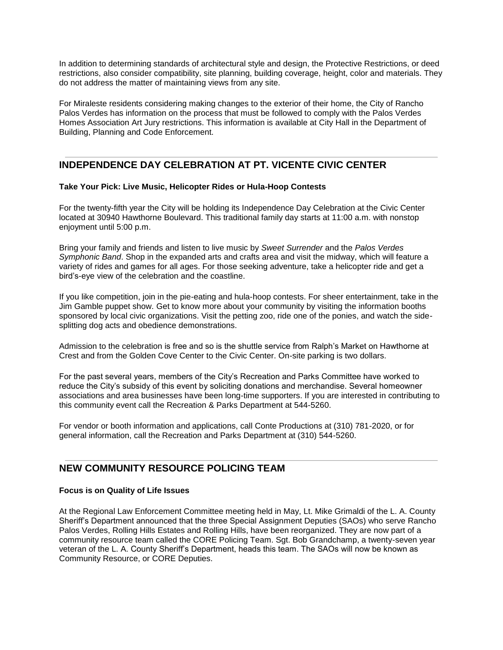In addition to determining standards of architectural style and design, the Protective Restrictions, or deed restrictions, also consider compatibility, site planning, building coverage, height, color and materials. They do not address the matter of maintaining views from any site.

For Miraleste residents considering making changes to the exterior of their home, the City of Rancho Palos Verdes has information on the process that must be followed to comply with the Palos Verdes Homes Association Art Jury restrictions. This information is available at City Hall in the Department of Building, Planning and Code Enforcement.

## **INDEPENDENCE DAY CELEBRATION AT PT. VICENTE CIVIC CENTER**

### **Take Your Pick: Live Music, Helicopter Rides or Hula-Hoop Contests**

For the twenty-fifth year the City will be holding its Independence Day Celebration at the Civic Center located at 30940 Hawthorne Boulevard. This traditional family day starts at 11:00 a.m. with nonstop enjoyment until 5:00 p.m.

Bring your family and friends and listen to live music by *Sweet Surrender* and the *Palos Verdes Symphonic Band*. Shop in the expanded arts and crafts area and visit the midway, which will feature a variety of rides and games for all ages. For those seeking adventure, take a helicopter ride and get a bird's-eye view of the celebration and the coastline.

If you like competition, join in the pie-eating and hula-hoop contests. For sheer entertainment, take in the Jim Gamble puppet show. Get to know more about your community by visiting the information booths sponsored by local civic organizations. Visit the petting zoo, ride one of the ponies, and watch the sidesplitting dog acts and obedience demonstrations.

Admission to the celebration is free and so is the shuttle service from Ralph's Market on Hawthorne at Crest and from the Golden Cove Center to the Civic Center. On-site parking is two dollars.

For the past several years, members of the City's Recreation and Parks Committee have worked to reduce the City's subsidy of this event by soliciting donations and merchandise. Several homeowner associations and area businesses have been long-time supporters. If you are interested in contributing to this community event call the Recreation & Parks Department at 544-5260.

For vendor or booth information and applications, call Conte Productions at (310) 781-2020, or for general information, call the Recreation and Parks Department at (310) 544-5260.

## **NEW COMMUNITY RESOURCE POLICING TEAM**

#### **Focus is on Quality of Life Issues**

At the Regional Law Enforcement Committee meeting held in May, Lt. Mike Grimaldi of the L. A. County Sheriff's Department announced that the three Special Assignment Deputies (SAOs) who serve Rancho Palos Verdes, Rolling Hills Estates and Rolling Hills, have been reorganized. They are now part of a community resource team called the CORE Policing Team. Sgt. Bob Grandchamp, a twenty-seven year veteran of the L. A. County Sheriff's Department, heads this team. The SAOs will now be known as Community Resource, or CORE Deputies.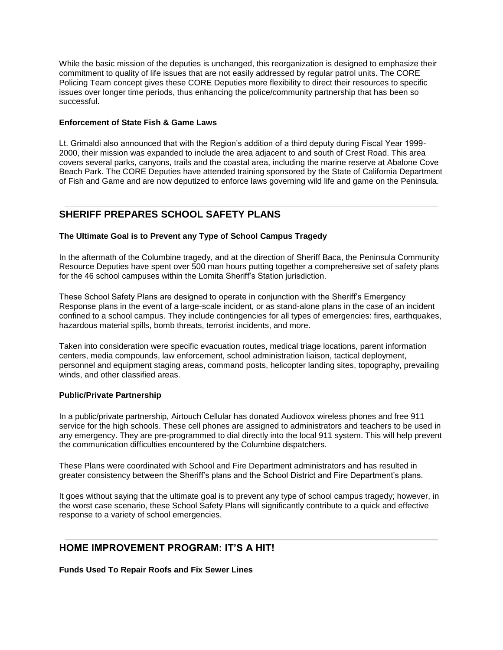While the basic mission of the deputies is unchanged, this reorganization is designed to emphasize their commitment to quality of life issues that are not easily addressed by regular patrol units. The CORE Policing Team concept gives these CORE Deputies more flexibility to direct their resources to specific issues over longer time periods, thus enhancing the police/community partnership that has been so successful.

### **Enforcement of State Fish & Game Laws**

Lt. Grimaldi also announced that with the Region's addition of a third deputy during Fiscal Year 1999- 2000, their mission was expanded to include the area adjacent to and south of Crest Road. This area covers several parks, canyons, trails and the coastal area, including the marine reserve at Abalone Cove Beach Park. The CORE Deputies have attended training sponsored by the State of California Department of Fish and Game and are now deputized to enforce laws governing wild life and game on the Peninsula.

## **SHERIFF PREPARES SCHOOL SAFETY PLANS**

### **The Ultimate Goal is to Prevent any Type of School Campus Tragedy**

In the aftermath of the Columbine tragedy, and at the direction of Sheriff Baca, the Peninsula Community Resource Deputies have spent over 500 man hours putting together a comprehensive set of safety plans for the 46 school campuses within the Lomita Sheriff's Station jurisdiction.

These School Safety Plans are designed to operate in conjunction with the Sheriff's Emergency Response plans in the event of a large-scale incident, or as stand-alone plans in the case of an incident confined to a school campus. They include contingencies for all types of emergencies: fires, earthquakes, hazardous material spills, bomb threats, terrorist incidents, and more.

Taken into consideration were specific evacuation routes, medical triage locations, parent information centers, media compounds, law enforcement, school administration liaison, tactical deployment, personnel and equipment staging areas, command posts, helicopter landing sites, topography, prevailing winds, and other classified areas.

#### **Public/Private Partnership**

In a public/private partnership, Airtouch Cellular has donated Audiovox wireless phones and free 911 service for the high schools. These cell phones are assigned to administrators and teachers to be used in any emergency. They are pre-programmed to dial directly into the local 911 system. This will help prevent the communication difficulties encountered by the Columbine dispatchers.

These Plans were coordinated with School and Fire Department administrators and has resulted in greater consistency between the Sheriff's plans and the School District and Fire Department's plans.

It goes without saying that the ultimate goal is to prevent any type of school campus tragedy; however, in the worst case scenario, these School Safety Plans will significantly contribute to a quick and effective response to a variety of school emergencies.

## **HOME IMPROVEMENT PROGRAM: IT'S A HIT!**

**Funds Used To Repair Roofs and Fix Sewer Lines**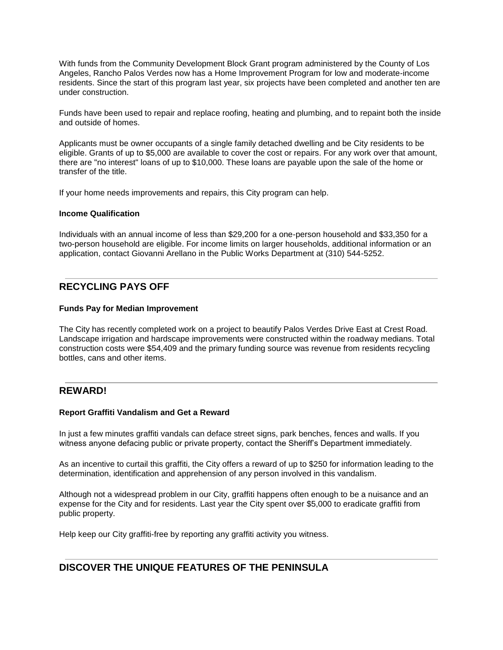With funds from the Community Development Block Grant program administered by the County of Los Angeles, Rancho Palos Verdes now has a Home Improvement Program for low and moderate-income residents. Since the start of this program last year, six projects have been completed and another ten are under construction.

Funds have been used to repair and replace roofing, heating and plumbing, and to repaint both the inside and outside of homes.

Applicants must be owner occupants of a single family detached dwelling and be City residents to be eligible. Grants of up to \$5,000 are available to cover the cost or repairs. For any work over that amount, there are "no interest" loans of up to \$10,000. These loans are payable upon the sale of the home or transfer of the title.

If your home needs improvements and repairs, this City program can help.

#### **Income Qualification**

Individuals with an annual income of less than \$29,200 for a one-person household and \$33,350 for a two-person household are eligible. For income limits on larger households, additional information or an application, contact Giovanni Arellano in the Public Works Department at (310) 544-5252.

## **RECYCLING PAYS OFF**

#### **Funds Pay for Median Improvement**

The City has recently completed work on a project to beautify Palos Verdes Drive East at Crest Road. Landscape irrigation and hardscape improvements were constructed within the roadway medians. Total construction costs were \$54,409 and the primary funding source was revenue from residents recycling bottles, cans and other items.

### **REWARD!**

#### **Report Graffiti Vandalism and Get a Reward**

In just a few minutes graffiti vandals can deface street signs, park benches, fences and walls. If you witness anyone defacing public or private property, contact the Sheriff's Department immediately.

As an incentive to curtail this graffiti, the City offers a reward of up to \$250 for information leading to the determination, identification and apprehension of any person involved in this vandalism.

Although not a widespread problem in our City, graffiti happens often enough to be a nuisance and an expense for the City and for residents. Last year the City spent over \$5,000 to eradicate graffiti from public property.

Help keep our City graffiti-free by reporting any graffiti activity you witness.

## **DISCOVER THE UNIQUE FEATURES OF THE PENINSULA**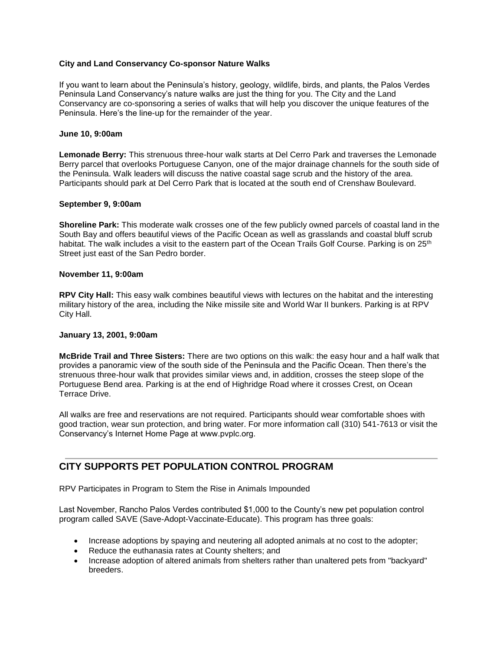### **City and Land Conservancy Co-sponsor Nature Walks**

If you want to learn about the Peninsula's history, geology, wildlife, birds, and plants, the Palos Verdes Peninsula Land Conservancy's nature walks are just the thing for you. The City and the Land Conservancy are co-sponsoring a series of walks that will help you discover the unique features of the Peninsula. Here's the line-up for the remainder of the year.

#### **June 10, 9:00am**

**Lemonade Berry:** This strenuous three-hour walk starts at Del Cerro Park and traverses the Lemonade Berry parcel that overlooks Portuguese Canyon, one of the major drainage channels for the south side of the Peninsula. Walk leaders will discuss the native coastal sage scrub and the history of the area. Participants should park at Del Cerro Park that is located at the south end of Crenshaw Boulevard.

#### **September 9, 9:00am**

**Shoreline Park:** This moderate walk crosses one of the few publicly owned parcels of coastal land in the South Bay and offers beautiful views of the Pacific Ocean as well as grasslands and coastal bluff scrub habitat. The walk includes a visit to the eastern part of the Ocean Trails Golf Course. Parking is on 25<sup>th</sup> Street just east of the San Pedro border.

### **November 11, 9:00am**

**RPV City Hall:** This easy walk combines beautiful views with lectures on the habitat and the interesting military history of the area, including the Nike missile site and World War II bunkers. Parking is at RPV City Hall.

#### **January 13, 2001, 9:00am**

**McBride Trail and Three Sisters:** There are two options on this walk: the easy hour and a half walk that provides a panoramic view of the south side of the Peninsula and the Pacific Ocean. Then there's the strenuous three-hour walk that provides similar views and, in addition, crosses the steep slope of the Portuguese Bend area. Parking is at the end of Highridge Road where it crosses Crest, on Ocean Terrace Drive.

All walks are free and reservations are not required. Participants should wear comfortable shoes with good traction, wear sun protection, and bring water. For more information call (310) 541-7613 or visit the Conservancy's Internet Home Page at www.pvplc.org.

## **CITY SUPPORTS PET POPULATION CONTROL PROGRAM**

RPV Participates in Program to Stem the Rise in Animals Impounded

Last November, Rancho Palos Verdes contributed \$1,000 to the County's new pet population control program called SAVE (Save-Adopt-Vaccinate-Educate). This program has three goals:

- Increase adoptions by spaying and neutering all adopted animals at no cost to the adopter;
- Reduce the euthanasia rates at County shelters; and
- Increase adoption of altered animals from shelters rather than unaltered pets from "backyard" breeders.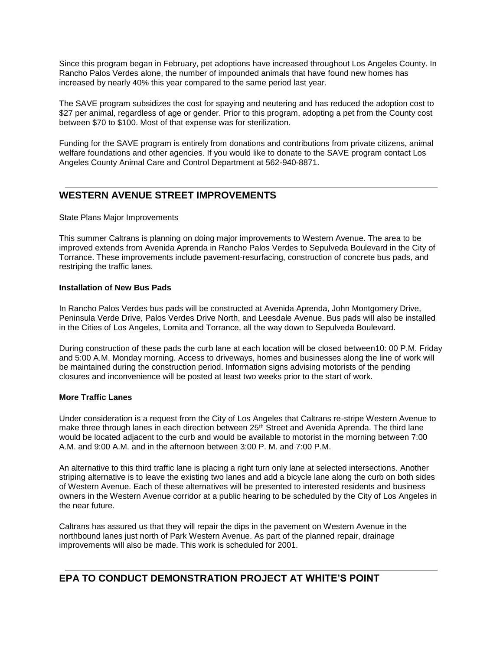Since this program began in February, pet adoptions have increased throughout Los Angeles County. In Rancho Palos Verdes alone, the number of impounded animals that have found new homes has increased by nearly 40% this year compared to the same period last year.

The SAVE program subsidizes the cost for spaying and neutering and has reduced the adoption cost to \$27 per animal, regardless of age or gender. Prior to this program, adopting a pet from the County cost between \$70 to \$100. Most of that expense was for sterilization.

Funding for the SAVE program is entirely from donations and contributions from private citizens, animal welfare foundations and other agencies. If you would like to donate to the SAVE program contact Los Angeles County Animal Care and Control Department at 562-940-8871.

## **WESTERN AVENUE STREET IMPROVEMENTS**

#### State Plans Major Improvements

This summer Caltrans is planning on doing major improvements to Western Avenue. The area to be improved extends from Avenida Aprenda in Rancho Palos Verdes to Sepulveda Boulevard in the City of Torrance. These improvements include pavement-resurfacing, construction of concrete bus pads, and restriping the traffic lanes.

#### **Installation of New Bus Pads**

In Rancho Palos Verdes bus pads will be constructed at Avenida Aprenda, John Montgomery Drive, Peninsula Verde Drive, Palos Verdes Drive North, and Leesdale Avenue. Bus pads will also be installed in the Cities of Los Angeles, Lomita and Torrance, all the way down to Sepulveda Boulevard.

During construction of these pads the curb lane at each location will be closed between10: 00 P.M. Friday and 5:00 A.M. Monday morning. Access to driveways, homes and businesses along the line of work will be maintained during the construction period. Information signs advising motorists of the pending closures and inconvenience will be posted at least two weeks prior to the start of work.

#### **More Traffic Lanes**

Under consideration is a request from the City of Los Angeles that Caltrans re-stripe Western Avenue to make three through lanes in each direction between 25<sup>th</sup> Street and Avenida Aprenda. The third lane would be located adjacent to the curb and would be available to motorist in the morning between 7:00 A.M. and 9:00 A.M. and in the afternoon between 3:00 P. M. and 7:00 P.M.

An alternative to this third traffic lane is placing a right turn only lane at selected intersections. Another striping alternative is to leave the existing two lanes and add a bicycle lane along the curb on both sides of Western Avenue. Each of these alternatives will be presented to interested residents and business owners in the Western Avenue corridor at a public hearing to be scheduled by the City of Los Angeles in the near future.

Caltrans has assured us that they will repair the dips in the pavement on Western Avenue in the northbound lanes just north of Park Western Avenue. As part of the planned repair, drainage improvements will also be made. This work is scheduled for 2001.

## **EPA TO CONDUCT DEMONSTRATION PROJECT AT WHITE'S POINT**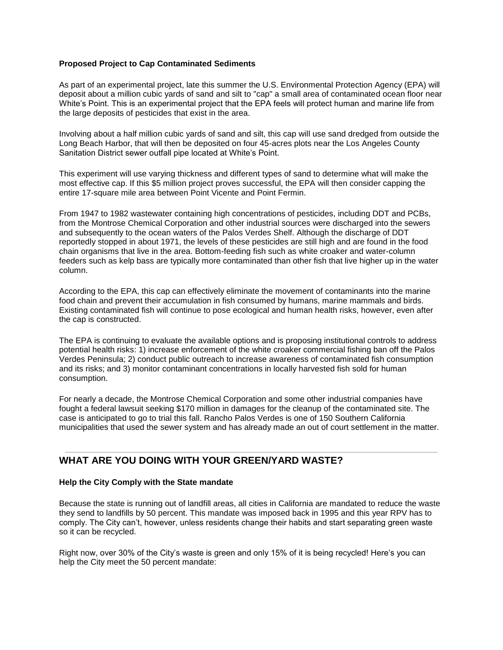### **Proposed Project to Cap Contaminated Sediments**

As part of an experimental project, late this summer the U.S. Environmental Protection Agency (EPA) will deposit about a million cubic yards of sand and silt to "cap" a small area of contaminated ocean floor near White's Point. This is an experimental project that the EPA feels will protect human and marine life from the large deposits of pesticides that exist in the area.

Involving about a half million cubic yards of sand and silt, this cap will use sand dredged from outside the Long Beach Harbor, that will then be deposited on four 45-acres plots near the Los Angeles County Sanitation District sewer outfall pipe located at White's Point.

This experiment will use varying thickness and different types of sand to determine what will make the most effective cap. If this \$5 million project proves successful, the EPA will then consider capping the entire 17-square mile area between Point Vicente and Point Fermin.

From 1947 to 1982 wastewater containing high concentrations of pesticides, including DDT and PCBs, from the Montrose Chemical Corporation and other industrial sources were discharged into the sewers and subsequently to the ocean waters of the Palos Verdes Shelf. Although the discharge of DDT reportedly stopped in about 1971, the levels of these pesticides are still high and are found in the food chain organisms that live in the area. Bottom-feeding fish such as white croaker and water-column feeders such as kelp bass are typically more contaminated than other fish that live higher up in the water column.

According to the EPA, this cap can effectively eliminate the movement of contaminants into the marine food chain and prevent their accumulation in fish consumed by humans, marine mammals and birds. Existing contaminated fish will continue to pose ecological and human health risks, however, even after the cap is constructed.

The EPA is continuing to evaluate the available options and is proposing institutional controls to address potential health risks: 1) increase enforcement of the white croaker commercial fishing ban off the Palos Verdes Peninsula; 2) conduct public outreach to increase awareness of contaminated fish consumption and its risks; and 3) monitor contaminant concentrations in locally harvested fish sold for human consumption.

For nearly a decade, the Montrose Chemical Corporation and some other industrial companies have fought a federal lawsuit seeking \$170 million in damages for the cleanup of the contaminated site. The case is anticipated to go to trial this fall. Rancho Palos Verdes is one of 150 Southern California municipalities that used the sewer system and has already made an out of court settlement in the matter.

## **WHAT ARE YOU DOING WITH YOUR GREEN/YARD WASTE?**

#### **Help the City Comply with the State mandate**

Because the state is running out of landfill areas, all cities in California are mandated to reduce the waste they send to landfills by 50 percent. This mandate was imposed back in 1995 and this year RPV has to comply. The City can't, however, unless residents change their habits and start separating green waste so it can be recycled.

Right now, over 30% of the City's waste is green and only 15% of it is being recycled! Here's you can help the City meet the 50 percent mandate: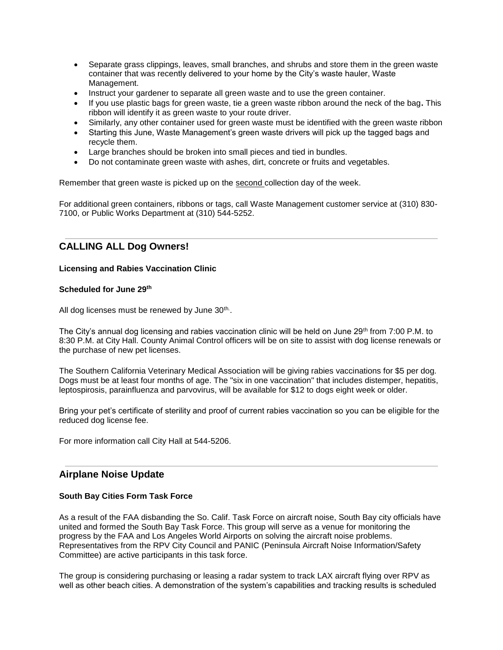- Separate grass clippings, leaves, small branches, and shrubs and store them in the green waste container that was recently delivered to your home by the City's waste hauler, Waste Management.
- Instruct your gardener to separate all green waste and to use the green container.
- If you use plastic bags for green waste, tie a green waste ribbon around the neck of the bag**.** This ribbon will identify it as green waste to your route driver.
- Similarly, any other container used for green waste must be identified with the green waste ribbon
- Starting this June, Waste Management's green waste drivers will pick up the tagged bags and recycle them.
- Large branches should be broken into small pieces and tied in bundles.
- Do not contaminate green waste with ashes, dirt, concrete or fruits and vegetables.

Remember that green waste is picked up on the second collection day of the week.

For additional green containers, ribbons or tags, call Waste Management customer service at (310) 830- 7100, or Public Works Department at (310) 544-5252.

## **CALLING ALL Dog Owners!**

#### **Licensing and Rabies Vaccination Clinic**

#### **Scheduled for June 29th**

All dog licenses must be renewed by June 30<sup>th</sup>.

The City's annual dog licensing and rabies vaccination clinic will be held on June 29th from 7:00 P.M. to 8:30 P.M. at City Hall. County Animal Control officers will be on site to assist with dog license renewals or the purchase of new pet licenses.

The Southern California Veterinary Medical Association will be giving rabies vaccinations for \$5 per dog. Dogs must be at least four months of age. The "six in one vaccination" that includes distemper, hepatitis, leptospirosis, parainfluenza and parvovirus, will be available for \$12 to dogs eight week or older.

Bring your pet's certificate of sterility and proof of current rabies vaccination so you can be eligible for the reduced dog license fee.

For more information call City Hall at 544-5206.

### **Airplane Noise Update**

#### **South Bay Cities Form Task Force**

As a result of the FAA disbanding the So. Calif. Task Force on aircraft noise, South Bay city officials have united and formed the South Bay Task Force. This group will serve as a venue for monitoring the progress by the FAA and Los Angeles World Airports on solving the aircraft noise problems. Representatives from the RPV City Council and PANIC (Peninsula Aircraft Noise Information/Safety Committee) are active participants in this task force.

The group is considering purchasing or leasing a radar system to track LAX aircraft flying over RPV as well as other beach cities. A demonstration of the system's capabilities and tracking results is scheduled